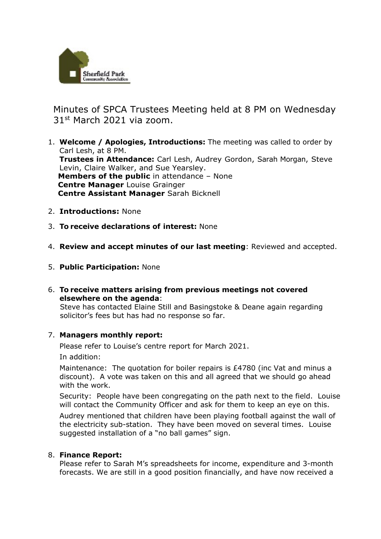

 Minutes of SPCA Trustees Meeting held at 8 PM on Wednesday 31st March 2021 via zoom.

- 1. **Welcome / Apologies, Introductions:** The meeting was called to order by Carl Lesh, at 8 PM. **Trustees in Attendance:** Carl Lesh, Audrey Gordon, Sarah Morgan, Steve Levin, Claire Walker, and Sue Yearsley. **Members of the public** in attendance – None  **Centre Manager** Louise Grainger  **Centre Assistant Manager** Sarah Bicknell
- 2. **Introductions:** None
- 3. **To receive declarations of interest:** None
- 4. **Review and accept minutes of our last meeting**: Reviewed and accepted.
- 5. **Public Participation:** None
- 6. **To receive matters arising from previous meetings not covered elsewhere on the agenda**:

Steve has contacted Elaine Still and Basingstoke & Deane again regarding solicitor's fees but has had no response so far.

## 7. **Managers monthly report:**

Please refer to Louise's centre report for March 2021.

In addition:

Maintenance: The quotation for boiler repairs is £4780 (inc Vat and minus a discount). A vote was taken on this and all agreed that we should go ahead with the work.

Security: People have been congregating on the path next to the field. Louise will contact the Community Officer and ask for them to keep an eye on this.

Audrey mentioned that children have been playing football against the wall of the electricity sub-station. They have been moved on several times. Louise suggested installation of a "no ball games" sign.

## 8. **Finance Report:**

Please refer to Sarah M's spreadsheets for income, expenditure and 3-month forecasts. We are still in a good position financially, and have now received a